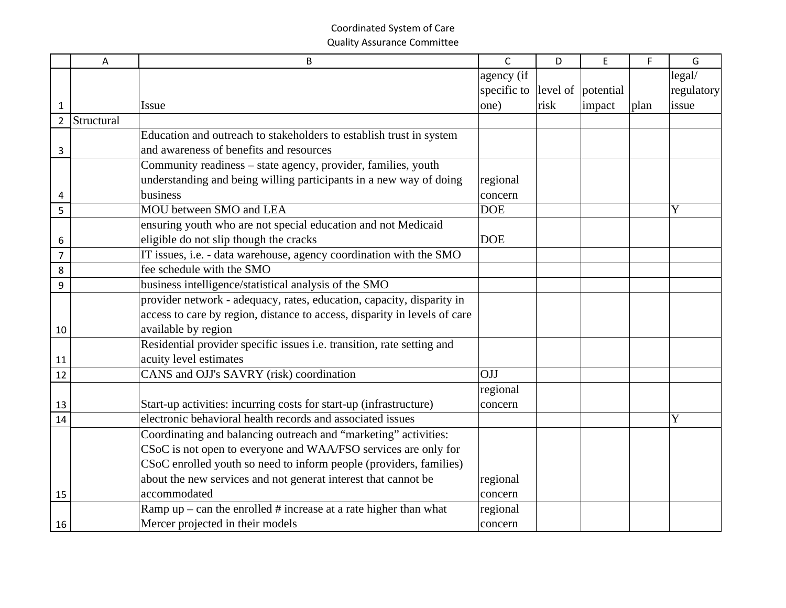|                | A          | B                                                                         | $\mathsf{C}$                   | D    | E      | F    | G           |
|----------------|------------|---------------------------------------------------------------------------|--------------------------------|------|--------|------|-------------|
|                |            |                                                                           | agency (if                     |      |        |      | legal/      |
|                |            |                                                                           | specific to level of potential |      |        |      | regulatory  |
| 1              |            | <b>Issue</b>                                                              | one)                           | risk | impact | plan | issue       |
| $\overline{2}$ | Structural |                                                                           |                                |      |        |      |             |
|                |            | Education and outreach to stakeholders to establish trust in system       |                                |      |        |      |             |
| 3              |            | and awareness of benefits and resources                                   |                                |      |        |      |             |
|                |            | Community readiness – state agency, provider, families, youth             |                                |      |        |      |             |
|                |            | understanding and being willing participants in a new way of doing        | regional                       |      |        |      |             |
| 4              |            | business                                                                  | concern                        |      |        |      |             |
| 5              |            | MOU between SMO and LEA                                                   | <b>DOE</b>                     |      |        |      | Y           |
|                |            | ensuring youth who are not special education and not Medicaid             |                                |      |        |      |             |
| 6              |            | eligible do not slip though the cracks                                    | <b>DOE</b>                     |      |        |      |             |
| $\overline{7}$ |            | IT issues, i.e. - data warehouse, agency coordination with the SMO        |                                |      |        |      |             |
| 8              |            | fee schedule with the SMO                                                 |                                |      |        |      |             |
| 9              |            | business intelligence/statistical analysis of the SMO                     |                                |      |        |      |             |
|                |            | provider network - adequacy, rates, education, capacity, disparity in     |                                |      |        |      |             |
|                |            | access to care by region, distance to access, disparity in levels of care |                                |      |        |      |             |
| 10             |            | available by region                                                       |                                |      |        |      |             |
|                |            | Residential provider specific issues i.e. transition, rate setting and    |                                |      |        |      |             |
| 11             |            | acuity level estimates                                                    |                                |      |        |      |             |
| 12             |            | CANS and OJJ's SAVRY (risk) coordination                                  | OJJ                            |      |        |      |             |
|                |            |                                                                           | regional                       |      |        |      |             |
| 13             |            | Start-up activities: incurring costs for start-up (infrastructure)        | concern                        |      |        |      |             |
| 14             |            | electronic behavioral health records and associated issues                |                                |      |        |      | $\mathbf Y$ |
|                |            | Coordinating and balancing outreach and "marketing" activities:           |                                |      |        |      |             |
|                |            | CSoC is not open to everyone and WAA/FSO services are only for            |                                |      |        |      |             |
|                |            | CSoC enrolled youth so need to inform people (providers, families)        |                                |      |        |      |             |
|                |            | about the new services and not generat interest that cannot be            | regional                       |      |        |      |             |
| 15             |            | accommodated                                                              | concern                        |      |        |      |             |
|                |            | Ramp $up$ – can the enrolled # increase at a rate higher than what        | regional                       |      |        |      |             |
| 16             |            | Mercer projected in their models                                          | concern                        |      |        |      |             |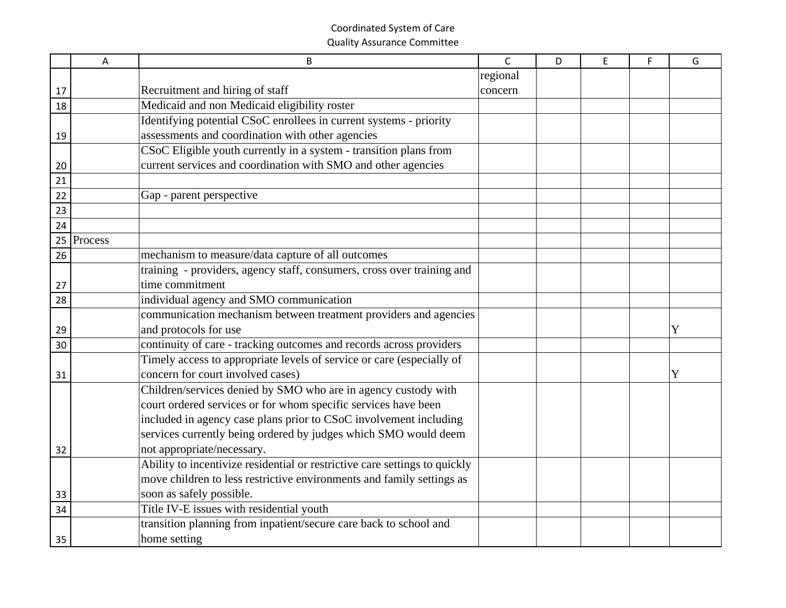|    | A       | B                                                                          | $\mathsf{C}$ | D | E | F | G |
|----|---------|----------------------------------------------------------------------------|--------------|---|---|---|---|
|    |         |                                                                            | regional     |   |   |   |   |
| 17 |         | Recruitment and hiring of staff                                            | concern      |   |   |   |   |
| 18 |         | Medicaid and non Medicaid eligibility roster                               |              |   |   |   |   |
|    |         | Identifying potential CSoC enrollees in current systems - priority         |              |   |   |   |   |
| 19 |         | assessments and coordination with other agencies                           |              |   |   |   |   |
|    |         | CSoC Eligible youth currently in a system - transition plans from          |              |   |   |   |   |
| 20 |         | current services and coordination with SMO and other agencies              |              |   |   |   |   |
| 21 |         |                                                                            |              |   |   |   |   |
| 22 |         | Gap - parent perspective                                                   |              |   |   |   |   |
| 23 |         |                                                                            |              |   |   |   |   |
| 24 |         |                                                                            |              |   |   |   |   |
| 25 | Process |                                                                            |              |   |   |   |   |
| 26 |         | mechanism to measure/data capture of all outcomes                          |              |   |   |   |   |
|    |         | training - providers, agency staff, consumers, cross over training and     |              |   |   |   |   |
| 27 |         | time commitment                                                            |              |   |   |   |   |
| 28 |         | individual agency and SMO communication                                    |              |   |   |   |   |
|    |         | communication mechanism between treatment providers and agencies           |              |   |   |   |   |
| 29 |         | and protocols for use                                                      |              |   |   |   | Y |
| 30 |         | continuity of care - tracking outcomes and records across providers        |              |   |   |   |   |
|    |         | Timely access to appropriate levels of service or care (especially of      |              |   |   |   |   |
| 31 |         | concern for court involved cases)                                          |              |   |   |   | Y |
|    |         | Children/services denied by SMO who are in agency custody with             |              |   |   |   |   |
|    |         | court ordered services or for whom specific services have been             |              |   |   |   |   |
|    |         | included in agency case plans prior to CSoC involvement including          |              |   |   |   |   |
|    |         | services currently being ordered by judges which SMO would deem            |              |   |   |   |   |
| 32 |         | not appropriate/necessary.                                                 |              |   |   |   |   |
|    |         | Ability to incentivize residential or restrictive care settings to quickly |              |   |   |   |   |
|    |         | move children to less restrictive environments and family settings as      |              |   |   |   |   |
| 33 |         | soon as safely possible.                                                   |              |   |   |   |   |
| 34 |         | Title IV-E issues with residential youth                                   |              |   |   |   |   |
|    |         | transition planning from inpatient/secure care back to school and          |              |   |   |   |   |
| 35 |         | home setting                                                               |              |   |   |   |   |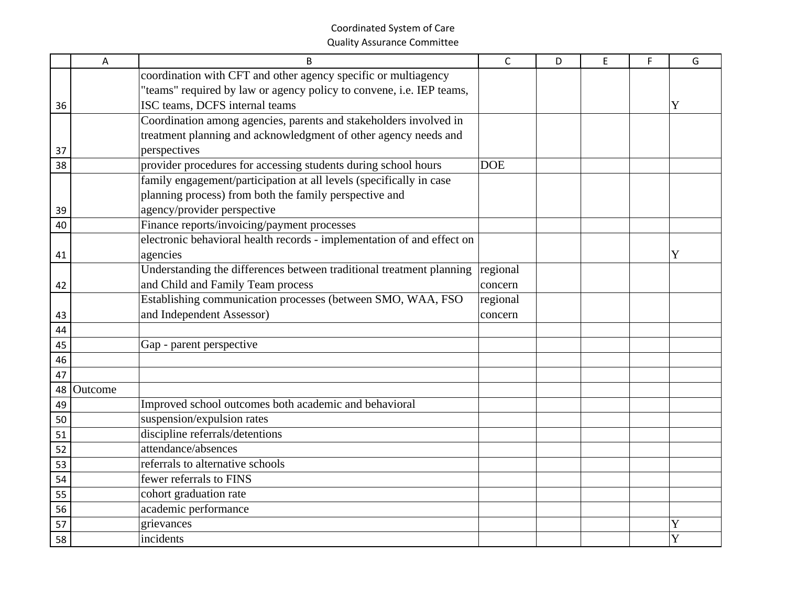|    | A       | <sub>B</sub>                                                           | $\mathsf{C}$ | D | E | F | G |
|----|---------|------------------------------------------------------------------------|--------------|---|---|---|---|
|    |         | coordination with CFT and other agency specific or multiagency         |              |   |   |   |   |
|    |         | "teams" required by law or agency policy to convene, i.e. IEP teams,   |              |   |   |   |   |
| 36 |         | ISC teams, DCFS internal teams                                         |              |   |   |   | Y |
|    |         | Coordination among agencies, parents and stakeholders involved in      |              |   |   |   |   |
|    |         | treatment planning and acknowledgment of other agency needs and        |              |   |   |   |   |
| 37 |         | perspectives                                                           |              |   |   |   |   |
| 38 |         | provider procedures for accessing students during school hours         | <b>DOE</b>   |   |   |   |   |
|    |         | family engagement/participation at all levels (specifically in case    |              |   |   |   |   |
|    |         | planning process) from both the family perspective and                 |              |   |   |   |   |
| 39 |         | agency/provider perspective                                            |              |   |   |   |   |
| 40 |         | Finance reports/invoicing/payment processes                            |              |   |   |   |   |
|    |         | electronic behavioral health records - implementation of and effect on |              |   |   |   |   |
| 41 |         | agencies                                                               |              |   |   |   | Y |
|    |         | Understanding the differences between traditional treatment planning   | regional     |   |   |   |   |
| 42 |         | and Child and Family Team process                                      | concern      |   |   |   |   |
|    |         | Establishing communication processes (between SMO, WAA, FSO            | regional     |   |   |   |   |
| 43 |         | and Independent Assessor)                                              | concern      |   |   |   |   |
| 44 |         |                                                                        |              |   |   |   |   |
| 45 |         | Gap - parent perspective                                               |              |   |   |   |   |
| 46 |         |                                                                        |              |   |   |   |   |
| 47 |         |                                                                        |              |   |   |   |   |
| 48 | Outcome |                                                                        |              |   |   |   |   |
| 49 |         | Improved school outcomes both academic and behavioral                  |              |   |   |   |   |
| 50 |         | suspension/expulsion rates                                             |              |   |   |   |   |
| 51 |         | discipline referrals/detentions                                        |              |   |   |   |   |
| 52 |         | attendance/absences                                                    |              |   |   |   |   |
| 53 |         | referrals to alternative schools                                       |              |   |   |   |   |
| 54 |         | fewer referrals to FINS                                                |              |   |   |   |   |
| 55 |         | cohort graduation rate                                                 |              |   |   |   |   |
| 56 |         | academic performance                                                   |              |   |   |   |   |
| 57 |         | grievances                                                             |              |   |   |   | Y |
| 58 |         | incidents                                                              |              |   |   |   | Y |